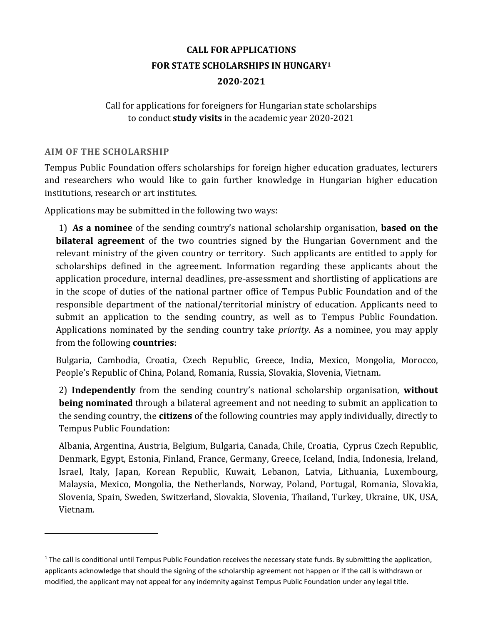# **CALL FOR APPLICATIONS FOR STATE SCHOLARSHIPS IN HUNGARY<sup>1</sup> 2020-2021**

# Call for applications for foreigners for Hungarian state scholarships to conduct **study visits** in the academic year 2020-2021

### **AIM OF THE SCHOLARSHIP**

 $\overline{a}$ 

Tempus Public Foundation offers scholarships for foreign higher education graduates, lecturers and researchers who would like to gain further knowledge in Hungarian higher education institutions, research or art institutes.

Applications may be submitted in the following two ways:

1) **As a nominee** of the sending country's national scholarship organisation, **based on the bilateral agreement** of the two countries signed by the Hungarian Government and the relevant ministry of the given country or territory. Such applicants are entitled to apply for scholarships defined in the agreement. Information regarding these applicants about the application procedure, internal deadlines, pre-assessment and shortlisting of applications are in the scope of duties of the national partner office of Tempus Public Foundation and of the responsible department of the national/territorial ministry of education. Applicants need to submit an application to the sending country, as well as to Tempus Public Foundation. Applications nominated by the sending country take *priority*. As a nominee, you may apply from the following **countries**:

Bulgaria, Cambodia, Croatia, Czech Republic, Greece, India, Mexico, Mongolia, Morocco, People's Republic of China, Poland, Romania, Russia, Slovakia, Slovenia, Vietnam.

2) **Independently** from the sending country's national scholarship organisation, **without being nominated** through a bilateral agreement and not needing to submit an application to the sending country, the **citizens** of the following countries may apply individually, directly to Tempus Public Foundation:

Albania, Argentina, Austria, Belgium, Bulgaria, Canada, Chile, Croatia, Cyprus Czech Republic, Denmark, Egypt, Estonia, Finland, France, Germany, Greece, Iceland, India, Indonesia, Ireland, Israel, Italy, Japan, Korean Republic, Kuwait, Lebanon, Latvia, Lithuania, Luxembourg, Malaysia, Mexico, Mongolia, the Netherlands, Norway, Poland, Portugal, Romania, Slovakia, Slovenia, Spain, Sweden, Switzerland, Slovakia, Slovenia, Thailand**,** Turkey, Ukraine, UK, USA, Vietnam.

 $1$  The call is conditional until Tempus Public Foundation receives the necessary state funds. By submitting the application, applicants acknowledge that should the signing of the scholarship agreement not happen or if the call is withdrawn or modified, the applicant may not appeal for any indemnity against Tempus Public Foundation under any legal title.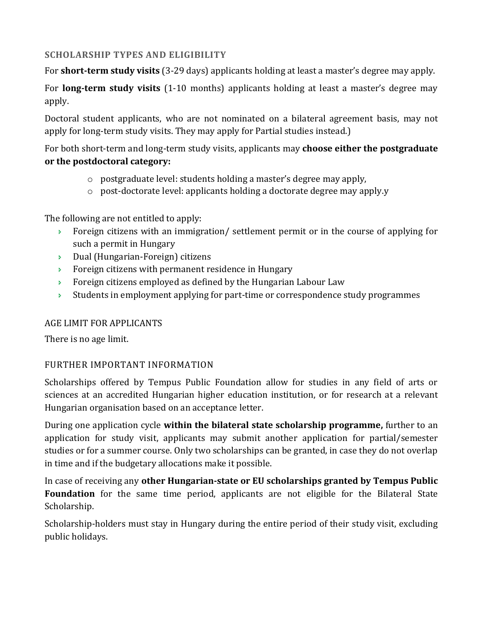# **SCHOLARSHIP TYPES AND ELIGIBILITY**

For **short-term study visits** (3-29 days) applicants holding at least a master's degree may apply.

For **long-term study visits** (1-10 months) applicants holding at least a master's degree may apply.

Doctoral student applicants, who are not nominated on a bilateral agreement basis, may not apply for long-term study visits. They may apply for Partial studies instead.)

For both short-term and long-term study visits, applicants may **choose either the postgraduate or the postdoctoral category:**

- o postgraduate level: students holding a master's degree may apply,
- o post-doctorate level: applicants holding a doctorate degree may apply.y

The following are not entitled to apply:

- $\rightarrow$  Foreign citizens with an immigration/ settlement permit or in the course of applying for such a permit in Hungary
- Dual (Hungarian-Foreign) citizens
- **Foreign citizens with permanent residence in Hungary**
- **Foreign citizens employed as defined by the Hungarian Labour Law**
- $\rightarrow$  Students in employment applying for part-time or correspondence study programmes

# AGE LIMIT FOR APPLICANTS

There is no age limit.

# FURTHER IMPORTANT INFORMATION

Scholarships offered by Tempus Public Foundation allow for studies in any field of arts or sciences at an accredited Hungarian higher education institution, or for research at a relevant Hungarian organisation based on an acceptance letter.

During one application cycle **within the bilateral state scholarship programme,** further to an application for study visit, applicants may submit another application for partial/semester studies or for a summer course. Only two scholarships can be granted, in case they do not overlap in time and if the budgetary allocations make it possible.

In case of receiving any **other Hungarian-state or EU scholarships granted by Tempus Public Foundation** for the same time period, applicants are not eligible for the Bilateral State Scholarship.

Scholarship-holders must stay in Hungary during the entire period of their study visit, excluding public holidays.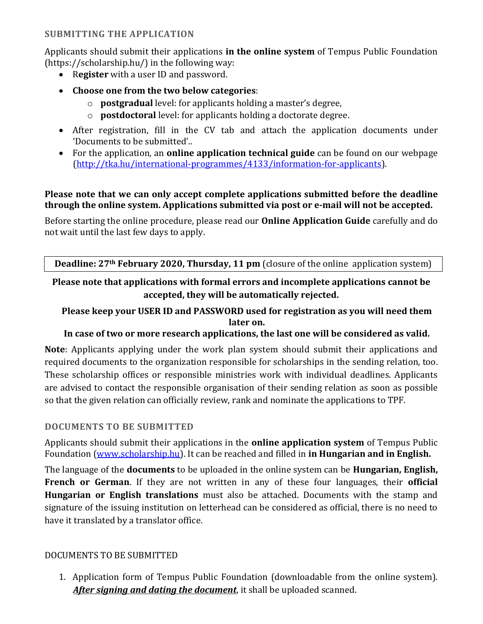# **SUBMITTING THE APPLICATION**

Applicants should submit their applications **in the online system** of Tempus Public Foundation (https://scholarship.hu/) in the following way:

- R**egister** with a user ID and password.
- **Choose one from the two below categories**:
	- o **postgradual** level: for applicants holding a master's degree,
	- o **postdoctoral** level: for applicants holding a doctorate degree.
- After registration, fill in the CV tab and attach the application documents under 'Documents to be submitted'..
- For the application, an **online application technical guide** can be found on our webpage [\(http://tka.hu/international-programmes/4133/information-for-applicants\)](http://tka.hu/international-programmes/4133/information-for-applicants).

### **Please note that we can only accept complete applications submitted before the deadline through the online system. Applications submitted via post or e-mail will not be accepted.**

Before starting the online procedure, please read our **Online Application Guide** carefully and do not wait until the last few days to apply.

**Deadline: 27th February 2020, Thursday, 11 pm** (closure of the online application system)

# **Please note that applications with formal errors and incomplete applications cannot be accepted, they will be automatically rejected.**

# **Please keep your USER ID and PASSWORD used for registration as you will need them later on.**

# **In case of two or more research applications, the last one will be considered as valid.**

**Note**: Applicants applying under the work plan system should submit their applications and required documents to the organization responsible for scholarships in the sending relation, too. These scholarship offices or responsible ministries work with individual deadlines. Applicants are advised to contact the responsible organisation of their sending relation as soon as possible so that the given relation can officially review, rank and nominate the applications to TPF.

# **DOCUMENTS TO BE SUBMITTED**

Applicants should submit their applications in the **online application system** of Tempus Public Foundation [\(www.scholarship.hu\)](http://www.scholarship.hu/). It can be reached and filled in **in Hungarian and in English.**

The language of the **documents** to be uploaded in the online system can be **Hungarian, English, French or German**. If they are not written in any of these four languages, their **official Hungarian or English translations** must also be attached. Documents with the stamp and signature of the issuing institution on letterhead can be considered as official, there is no need to have it translated by a translator office.

### DOCUMENTS TO BE SUBMITTED

1. Application form of Tempus Public Foundation (downloadable from the online system). *After signing and dating the document*, it shall be uploaded scanned.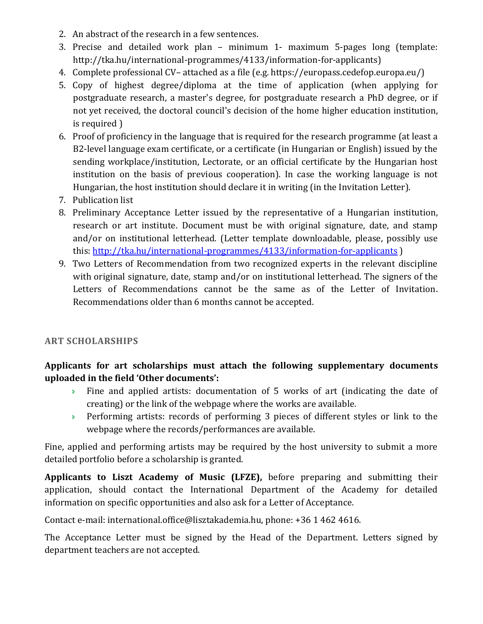- 2. An abstract of the research in a few sentences.
- 3. Precise and detailed work plan minimum 1- maximum 5-pages long (template: http://tka.hu/international-programmes/4133/information-for-applicants)
- 4. Complete professional CV– attached as a file (e.g. https://europass.cedefop.europa.eu/)
- 5. Copy of highest degree/diploma at the time of application (when applying for postgraduate research, a master's degree, for postgraduate research a PhD degree, or if not yet received, the doctoral council's decision of the home higher education institution, is required )
- 6. Proof of proficiency in the language that is required for the research programme (at least a B2-level language exam certificate, or a certificate (in Hungarian or English) issued by the sending workplace/institution, Lectorate, or an official certificate by the Hungarian host institution on the basis of previous cooperation). In case the working language is not Hungarian, the host institution should declare it in writing (in the Invitation Letter).
- 7. Publication list
- 8. Preliminary Acceptance Letter issued by the representative of a Hungarian institution, research or art institute. Document must be with original signature, date, and stamp and/or on institutional letterhead. (Letter template downloadable, please, possibly use this[: http://tka.hu/international-programmes/4133/information-for-applicants](http://tka.hu/international-programmes/4133/information-for-applicants) )
- 9. Two Letters of Recommendation from two recognized experts in the relevant discipline with original signature, date, stamp and/or on institutional letterhead. The signers of the Letters of Recommendations cannot be the same as of the Letter of Invitation. Recommendations older than 6 months cannot be accepted.

# **ART SCHOLARSHIPS**

# **Applicants for art scholarships must attach the following supplementary documents uploaded in the field 'Other documents':**

- $\rightarrow$  Fine and applied artists: documentation of 5 works of art (indicating the date of creating) or the link of the webpage where the works are available.
- **Performing artists: records of performing 3 pieces of different styles or link to the** webpage where the records/performances are available.

Fine, applied and performing artists may be required by the host university to submit a more detailed portfolio before a scholarship is granted.

**Applicants to Liszt Academy of Music (LFZE),** before preparing and submitting their application, should contact the International Department of the Academy for detailed information on specific opportunities and also ask for a Letter of Acceptance.

Contact e-mail: [international.office@lisztakademia.hu,](mailto:international.office@lisztakademia.hu) phone: +36 1 462 4616.

The Acceptance Letter must be signed by the Head of the Department. Letters signed by department teachers are not accepted.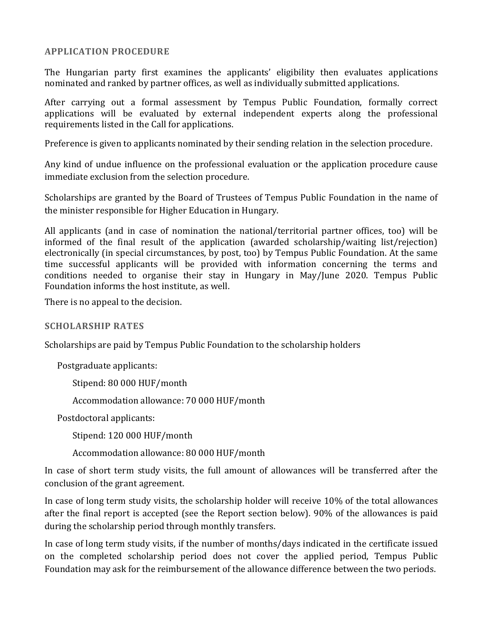#### **APPLICATION PROCEDURE**

The Hungarian party first examines the applicants' eligibility then evaluates applications nominated and ranked by partner offices, as well as individually submitted applications.

After carrying out a formal assessment by Tempus Public Foundation, formally correct applications will be evaluated by external independent experts along the professional requirements listed in the Call for applications.

Preference is given to applicants nominated by their sending relation in the selection procedure.

Any kind of undue influence on the professional evaluation or the application procedure cause immediate exclusion from the selection procedure.

Scholarships are granted by the Board of Trustees of Tempus Public Foundation in the name of the minister responsible for Higher Education in Hungary.

All applicants (and in case of nomination the national/territorial partner offices, too) will be informed of the final result of the application (awarded scholarship/waiting list/rejection) electronically (in special circumstances, by post, too) by Tempus Public Foundation. At the same time successful applicants will be provided with information concerning the terms and conditions needed to organise their stay in Hungary in May/June 2020. Tempus Public Foundation informs the host institute, as well.

There is no appeal to the decision.

#### **SCHOLARSHIP RATES**

Scholarships are paid by Tempus Public Foundation to the scholarship holders

Postgraduate applicants:

Stipend: 80 000 HUF/month

Accommodation allowance: 70 000 HUF/month

Postdoctoral applicants:

Stipend: 120 000 HUF/month

Accommodation allowance: 80 000 HUF/month

In case of short term study visits, the full amount of allowances will be transferred after the conclusion of the grant agreement.

In case of long term study visits, the scholarship holder will receive 10% of the total allowances after the final report is accepted (see the Report section below). 90% of the allowances is paid during the scholarship period through monthly transfers.

In case of long term study visits, if the number of months/days indicated in the certificate issued on the completed scholarship period does not cover the applied period, Tempus Public Foundation may ask for the reimbursement of the allowance difference between the two periods.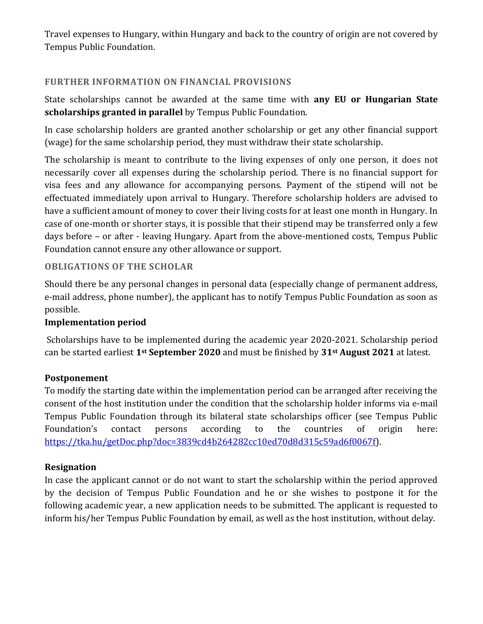Travel expenses to Hungary, within Hungary and back to the country of origin are not covered by Tempus Public Foundation.

# **FURTHER INFORMATION ON FINANCIAL PROVISIONS**

State scholarships cannot be awarded at the same time with **any EU or Hungarian State scholarships granted in parallel** by Tempus Public Foundation.

In case scholarship holders are granted another scholarship or get any other financial support (wage) for the same scholarship period, they must withdraw their state scholarship.

The scholarship is meant to contribute to the living expenses of only one person, it does not necessarily cover all expenses during the scholarship period. There is no financial support for visa fees and any allowance for accompanying persons. Payment of the stipend will not be effectuated immediately upon arrival to Hungary. Therefore scholarship holders are advised to have a sufficient amount of money to cover their living costs for at least one month in Hungary. In case of one-month or shorter stays, it is possible that their stipend may be transferred only a few days before – or after - leaving Hungary. Apart from the above-mentioned costs, Tempus Public Foundation cannot ensure any other allowance or support.

### **OBLIGATIONS OF THE SCHOLAR**

Should there be any personal changes in personal data (especially change of permanent address, e-mail address, phone number), the applicant has to notify Tempus Public Foundation as soon as possible.

### **Implementation period**

Scholarships have to be implemented during the academic year 2020-2021. Scholarship period can be started earliest **1st September 2020** and must be finished by **31st August 2021** at latest.

### **Postponement**

To modify the starting date within the implementation period can be arranged after receiving the consent of the host institution under the condition that the scholarship holder informs via e-mail Tempus Public Foundation through its bilateral state scholarships officer (see Tempus Public Foundation's contact persons according to the countries of origin here: [https://tka.hu/getDoc.php?doc=3839cd4b264282cc10ed70d8d315c59ad6f0067f\)](https://tka.hu/getDoc.php?doc=3839cd4b264282cc10ed70d8d315c59ad6f0067f).

### **Resignation**

In case the applicant cannot or do not want to start the scholarship within the period approved by the decision of Tempus Public Foundation and he or she wishes to postpone it for the following academic year, a new application needs to be submitted. The applicant is requested to inform his/her Tempus Public Foundation by email, as well as the host institution, without delay.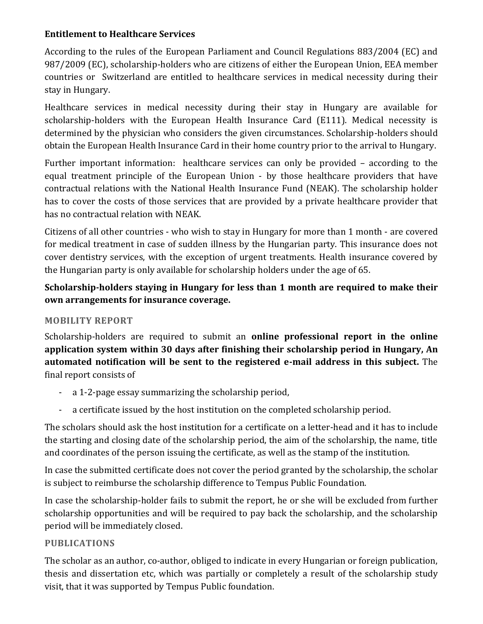# **Entitlement to Healthcare Services**

According to the rules of the European Parliament and Council Regulations 883/2004 (EC) and 987/2009 (EC), scholarship-holders who are citizens of either the European Union, EEA member countries or Switzerland are entitled to healthcare services in medical necessity during their stay in Hungary.

Healthcare services in medical necessity during their stay in Hungary are available for scholarship-holders with the European Health Insurance Card (E111). Medical necessity is determined by the physician who considers the given circumstances. Scholarship-holders should obtain the European Health Insurance Card in their home country prior to the arrival to Hungary.

Further important information: healthcare services can only be provided – according to the equal treatment principle of the European Union - by those healthcare providers that have contractual relations with the National Health Insurance Fund (NEAK). The scholarship holder has to cover the costs of those services that are provided by a private healthcare provider that has no contractual relation with NEAK.

Citizens of all other countries - who wish to stay in Hungary for more than 1 month - are covered for medical treatment in case of sudden illness by the Hungarian party. This insurance does not cover dentistry services, with the exception of urgent treatments. Health insurance covered by the Hungarian party is only available for scholarship holders under the age of 65.

# **Scholarship-holders staying in Hungary for less than 1 month are required to make their own arrangements for insurance coverage.**

# **MOBILITY REPORT**

Scholarship-holders are required to submit an **online professional report in the online application system within 30 days after finishing their scholarship period in Hungary, An automated notification will be sent to the registered e-mail address in this subject.** The final report consists of

- a 1-2-page essay summarizing the scholarship period,
- a certificate issued by the host institution on the completed scholarship period.

The scholars should ask the host institution for a certificate on a letter-head and it has to include the starting and closing date of the scholarship period, the aim of the scholarship, the name, title and coordinates of the person issuing the certificate, as well as the stamp of the institution.

In case the submitted certificate does not cover the period granted by the scholarship, the scholar is subject to reimburse the scholarship difference to Tempus Public Foundation.

In case the scholarship-holder fails to submit the report, he or she will be excluded from further scholarship opportunities and will be required to pay back the scholarship, and the scholarship period will be immediately closed.

# **PUBLICATIONS**

The scholar as an author, co-author, obliged to indicate in every Hungarian or foreign publication, thesis and dissertation etc, which was partially or completely a result of the scholarship study visit, that it was supported by Tempus Public foundation.